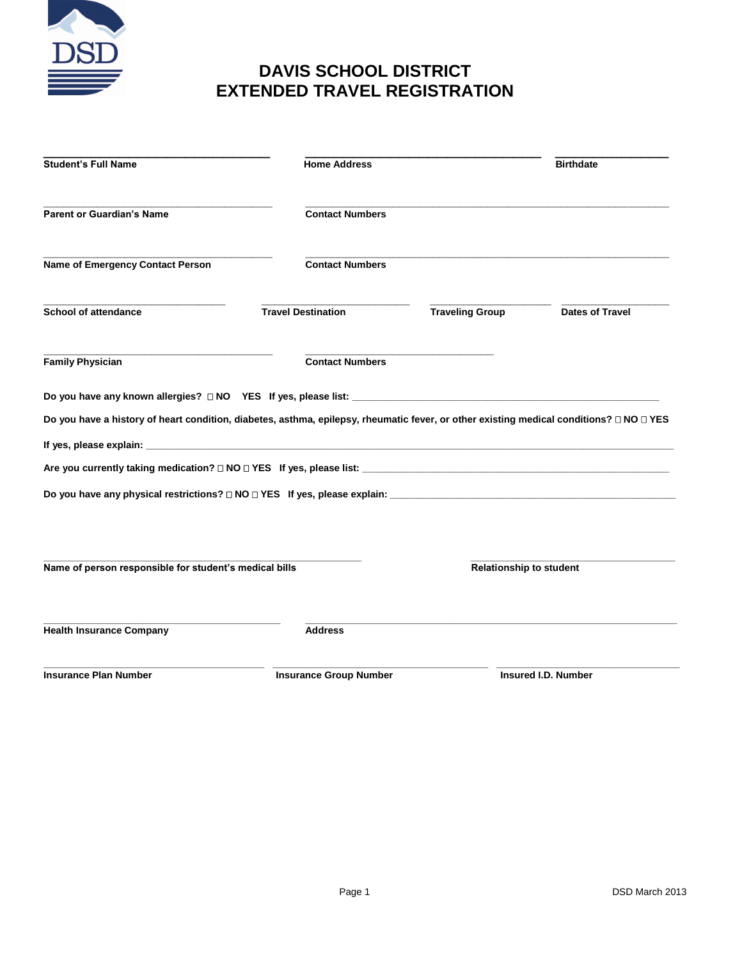

## **DAVIS SCHOOL DISTRICT EXTENDED TRAVEL REGISTRATION**

| <b>Student's Full Name</b>                                                                                                              | <b>Home Address</b>           |                                | <b>Birthdate</b>       |
|-----------------------------------------------------------------------------------------------------------------------------------------|-------------------------------|--------------------------------|------------------------|
| <b>Parent or Guardian's Name</b>                                                                                                        | <b>Contact Numbers</b>        |                                |                        |
| <b>Name of Emergency Contact Person</b>                                                                                                 | <b>Contact Numbers</b>        |                                |                        |
| <b>School of attendance</b>                                                                                                             | <b>Travel Destination</b>     | <b>Traveling Group</b>         | <b>Dates of Travel</b> |
| <b>Family Physician</b>                                                                                                                 | <b>Contact Numbers</b>        |                                |                        |
|                                                                                                                                         |                               |                                |                        |
| Do you have a history of heart condition, diabetes, asthma, epilepsy, rheumatic fever, or other existing medical conditions? □ NO □ YES |                               |                                |                        |
|                                                                                                                                         |                               |                                |                        |
|                                                                                                                                         |                               |                                |                        |
|                                                                                                                                         |                               |                                |                        |
| Name of person responsible for student's medical bills                                                                                  |                               | <b>Relationship to student</b> |                        |
| <b>Health Insurance Company</b>                                                                                                         | <b>Address</b>                |                                |                        |
| <b>Insurance Plan Number</b>                                                                                                            | <b>Insurance Group Number</b> |                                | Insured I.D. Number    |